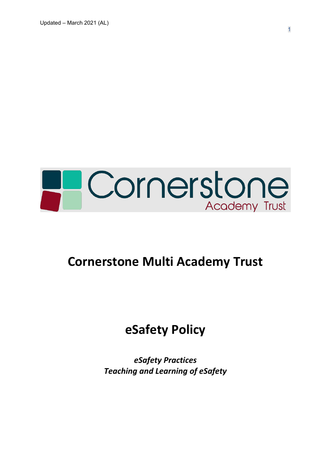

# **Cornerstone Multi Academy Trust**

# **eSafety Policy**

*eSafety Practices Teaching and Learning of eSafety*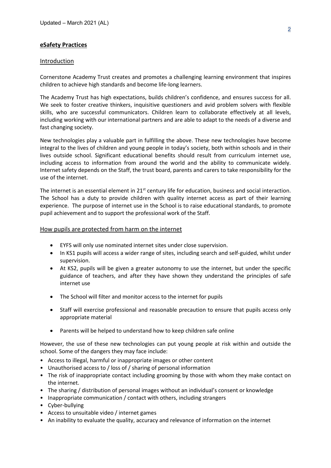## **eSafety Practices**

#### Introduction

Cornerstone Academy Trust creates and promotes a challenging learning environment that inspires children to achieve high standards and become life-long learners.

The Academy Trust has high expectations, builds children's confidence, and ensures success for all. We seek to foster creative thinkers, inquisitive questioners and avid problem solvers with flexible skills, who are successful communicators. Children learn to collaborate effectively at all levels, including working with our international partners and are able to adapt to the needs of a diverse and fast changing society.

New technologies play a valuable part in fulfilling the above. These new technologies have become integral to the lives of children and young people in today's society, both within schools and in their lives outside school. Significant educational benefits should result from curriculum internet use, including access to information from around the world and the ability to communicate widely. Internet safety depends on the Staff, the trust board, parents and carers to take responsibility for the use of the internet.

The internet is an essential element in  $21<sup>st</sup>$  century life for education, business and social interaction. The School has a duty to provide children with quality internet access as part of their learning experience. The purpose of internet use in the School is to raise educational standards, to promote pupil achievement and to support the professional work of the Staff.

#### How pupils are protected from harm on the internet

- EYFS will only use nominated internet sites under close supervision.
- In KS1 pupils will access a wider range of sites, including search and self-guided, whilst under supervision.
- At KS2, pupils will be given a greater autonomy to use the internet, but under the specific guidance of teachers, and after they have shown they understand the principles of safe internet use
- The School will filter and monitor access to the internet for pupils
- Staff will exercise professional and reasonable precaution to ensure that pupils access only appropriate material
- Parents will be helped to understand how to keep children safe online

However, the use of these new technologies can put young people at risk within and outside the school. Some of the dangers they may face include:

- Access to illegal, harmful or inappropriate images or other content
- Unauthorised access to / loss of / sharing of personal information
- The risk of inappropriate contact including grooming by those with whom they make contact on the internet.
- The sharing / distribution of personal images without an individual's consent or knowledge
- Inappropriate communication / contact with others, including strangers
- Cyber-bullying
- Access to unsuitable video / internet games
- An inability to evaluate the quality, accuracy and relevance of information on the internet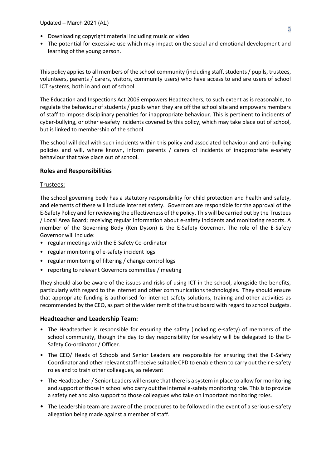- Downloading copyright material including music or video
- The potential for excessive use which may impact on the social and emotional development and learning of the young person.

This policy applies to all members of the school community (including staff, students / pupils, trustees, volunteers, parents / carers, visitors, community users) who have access to and are users of school ICT systems, both in and out of school.

The Education and Inspections Act 2006 empowers Headteachers, to such extent as is reasonable, to regulate the behaviour of students / pupils when they are off the school site and empowers members of staff to impose disciplinary penalties for inappropriate behaviour. This is pertinent to incidents of cyber-bullying, or other e-safety incidents covered by this policy, which may take place out of school, but is linked to membership of the school.

The school will deal with such incidents within this policy and associated behaviour and anti-bullying policies and will, where known, inform parents / carers of incidents of inappropriate e-safety behaviour that take place out of school.

## **Roles and Responsibilities**

#### Trustees:

The school governing body has a statutory responsibility for child protection and health and safety, and elements of these will include internet safety. Governors are responsible for the approval of the E-Safety Policy and for reviewing the effectiveness of the policy. This will be carried out by the Trustees / Local Area Board; receiving regular information about e-safety incidents and monitoring reports. A member of the Governing Body (Ken Dyson) is the E-Safety Governor. The role of the E-Safety Governor will include:

- regular meetings with the E-Safety Co-ordinator
- regular monitoring of e-safety incident logs
- regular monitoring of filtering / change control logs
- reporting to relevant Governors committee / meeting

They should also be aware of the issues and risks of using ICT in the school, alongside the benefits, particularly with regard to the internet and other communications technologies. They should ensure that appropriate funding is authorised for internet safety solutions, training and other activities as recommended by the CEO, as part of the wider remit of the trust board with regard to school budgets.

#### **Headteacher and Leadership Team:**

- The Headteacher is responsible for ensuring the safety (including e-safety) of members of the school community, though the day to day responsibility for e-safety will be delegated to the E-Safety Co-ordinator / Officer.
- The CEO/ Heads of Schools and Senior Leaders are responsible for ensuring that the E-Safety Coordinator and other relevant staff receive suitable CPD to enable them to carry out their e-safety roles and to train other colleagues, as relevant
- The Headteacher / Senior Leaders will ensure that there is a system in place to allow for monitoring and support of those in school who carry out the internal e-safety monitoring role. This is to provide a safety net and also support to those colleagues who take on important monitoring roles.
- The Leadership team are aware of the procedures to be followed in the event of a serious e-safety allegation being made against a member of staff.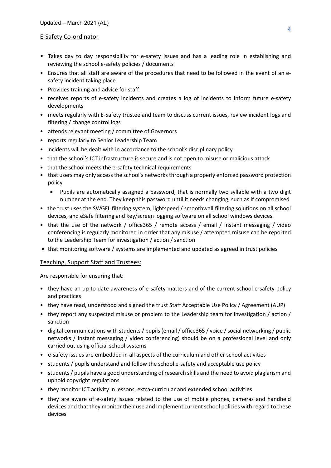#### E-Safety Co-ordinator

- Takes day to day responsibility for e-safety issues and has a leading role in establishing and reviewing the school e-safety policies / documents
- Ensures that all staff are aware of the procedures that need to be followed in the event of an esafety incident taking place.
- Provides training and advice for staff
- receives reports of e-safety incidents and creates a log of incidents to inform future e-safety developments
- meets regularly with E-Safety trustee and team to discuss current issues, review incident logs and filtering / change control logs
- attends relevant meeting / committee of Governors
- reports regularly to Senior Leadership Team
- incidents will be dealt with in accordance to the school's disciplinary policy
- that the school's ICT infrastructure is secure and is not open to misuse or malicious attack
- that the school meets the e-safety technical requirements
- that users may only access the school's networks through a properly enforced password protection policy
	- Pupils are automatically assigned a password, that is normally two syllable with a two digit number at the end. They keep this password until it needs changing, such as if compromised
- the trust uses the SWGFL filtering system, lightspeed / smoothwall filtering solutions on all school devices, and eSafe filtering and key/screen logging software on all school windows devices.
- that the use of the network / office365 / remote access / email / Instant messaging / video conferencing is regularly monitored in order that any misuse / attempted misuse can be reported to the Leadership Team for investigation / action / sanction
- that monitoring software / systems are implemented and updated as agreed in trust policies

#### Teaching, Support Staff and Trustees:

Are responsible for ensuring that:

- they have an up to date awareness of e-safety matters and of the current school e-safety policy and practices
- they have read, understood and signed the trust Staff Acceptable Use Policy / Agreement (AUP)
- they report any suspected misuse or problem to the Leadership team for investigation / action / sanction
- digital communications with students / pupils (email / office365 / voice / social networking / public networks / instant messaging / video conferencing) should be on a professional level and only carried out using official school systems
- e-safety issues are embedded in all aspects of the curriculum and other school activities
- students / pupils understand and follow the school e-safety and acceptable use policy
- students / pupils have a good understanding of research skills and the need to avoid plagiarism and uphold copyright regulations
- they monitor ICT activity in lessons, extra-curricular and extended school activities
- they are aware of e-safety issues related to the use of mobile phones, cameras and handheld devices and that they monitor their use and implement current school policies with regard to these devices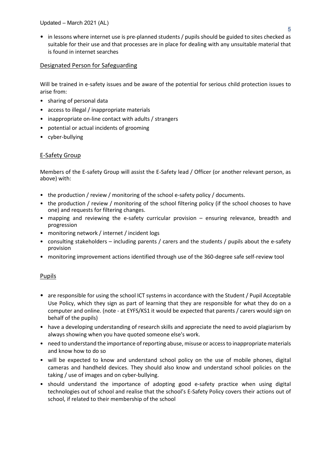• in lessons where internet use is pre-planned students / pupils should be guided to sites checked as suitable for their use and that processes are in place for dealing with any unsuitable material that is found in internet searches

# Designated Person for Safeguarding

Will be trained in e-safety issues and be aware of the potential for serious child protection issues to arise from:

- sharing of personal data
- access to illegal / inappropriate materials
- inappropriate on-line contact with adults / strangers
- potential or actual incidents of grooming
- cyber-bullying

# E-Safety Group

Members of the E-safety Group will assist the E-Safety lead / Officer (or another relevant person, as above) with:

- the production / review / monitoring of the school e-safety policy / documents.
- the production / review / monitoring of the school filtering policy (if the school chooses to have one) and requests for filtering changes.
- mapping and reviewing the e-safety curricular provision ensuring relevance, breadth and progression
- monitoring network / internet / incident logs
- consulting stakeholders including parents / carers and the students / pupils about the e-safety provision
- monitoring improvement actions identified through use of the 360-degree safe self-review tool

# Pupils

- are responsible for using the school ICT systems in accordance with the Student / Pupil Acceptable Use Policy, which they sign as part of learning that they are responsible for what they do on a computer and online. (note - at EYFS/KS1 it would be expected that parents / carers would sign on behalf of the pupils)
- have a developing understanding of research skills and appreciate the need to avoid plagiarism by always showing when you have quoted someone else's work.
- need to understand the importance of reporting abuse, misuse or access to inappropriate materials and know how to do so
- will be expected to know and understand school policy on the use of mobile phones, digital cameras and handheld devices. They should also know and understand school policies on the taking / use of images and on cyber-bullying.
- should understand the importance of adopting good e-safety practice when using digital technologies out of school and realise that the school's E-Safety Policy covers their actions out of school, if related to their membership of the school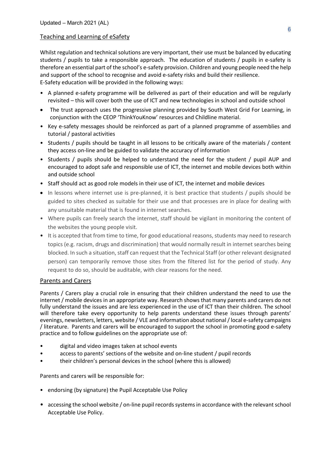## Teaching and Learning of eSafety

Whilst regulation and technical solutions are very important, their use must be balanced by educating students / pupils to take a responsible approach. The education of students / pupils in e-safety is therefore an essential part of the school's e-safety provision. Children and young people need the help and support of the school to recognise and avoid e-safety risks and build their resilience. E-Safety education will be provided in the following ways:

- A planned e-safety programme will be delivered as part of their education and will be regularly revisited – this will cover both the use of ICT and new technologies in school and outside school
- The trust approach uses the progressive planning provided by South West Grid For Learning, in conjunction with the CEOP 'ThinkYouKnow' resources and Childline material.
- Key e-safety messages should be reinforced as part of a planned programme of assemblies and tutorial / pastoral activities
- Students / pupils should be taught in all lessons to be critically aware of the materials / content they access on-line and be guided to validate the accuracy of information
- Students / pupils should be helped to understand the need for the student / pupil AUP and encouraged to adopt safe and responsible use of ICT, the internet and mobile devices both within and outside school
- Staff should act as good role models in their use of ICT, the internet and mobile devices
- In lessons where internet use is pre-planned, it is best practice that students / pupils should be guided to sites checked as suitable for their use and that processes are in place for dealing with any unsuitable material that is found in internet searches.
- Where pupils can freely search the internet, staff should be vigilant in monitoring the content of the websites the young people visit.
- It is accepted that from time to time, for good educational reasons, students may need to research topics (e.g. racism, drugs and discrimination) that would normally result in internet searches being blocked. In such a situation, staff can request that the Technical Staff (or other relevant designated person) can temporarily remove those sites from the filtered list for the period of study. Any request to do so, should be auditable, with clear reasons for the need.

## Parents and Carers

Parents / Carers play a crucial role in ensuring that their children understand the need to use the internet / mobile devices in an appropriate way. Research shows that many parents and carers do not fully understand the issues and are less experienced in the use of ICT than their children. The school will therefore take every opportunity to help parents understand these issues through parents' evenings, newsletters, letters, website / VLE and information about national / local e-safety campaigns / literature. Parents and carers will be encouraged to support the school in promoting good e-safety practice and to follow guidelines on the appropriate use of:

- digital and video images taken at school events
- access to parents' sections of the website and on-line student / pupil records
- their children's personal devices in the school (where this is allowed)

Parents and carers will be responsible for:

- endorsing (by signature) the Pupil Acceptable Use Policy
- accessing the school website / on-line pupil records systems in accordance with the relevant school Acceptable Use Policy.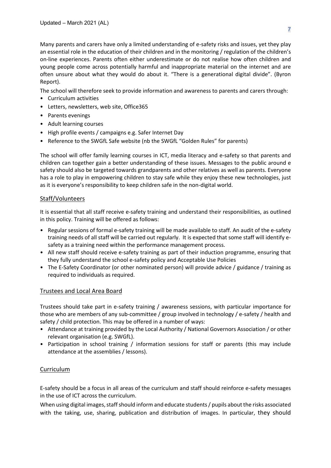Many parents and carers have only a limited understanding of e-safety risks and issues, yet they play an essential role in the education of their children and in the monitoring / regulation of the children's on-line experiences. Parents often either underestimate or do not realise how often children and young people come across potentially harmful and inappropriate material on the internet and are often unsure about what they would do about it. "There is a generational digital divide". (Byron Report).

The school will therefore seek to provide information and awareness to parents and carers through:

- Curriculum activities
- Letters, newsletters, web site, Office365
- Parents evenings
- Adult learning courses
- High profile events / campaigns e.g. Safer Internet Day
- Reference to the SWGfL Safe website (nb the SWGfL "Golden Rules" for parents)

The school will offer family learning courses in ICT, media literacy and e-safety so that parents and children can together gain a better understanding of these issues. Messages to the public around e safety should also be targeted towards grandparents and other relatives as well as parents. Everyone has a role to play in empowering children to stay safe while they enjoy these new technologies, just as it is everyone's responsibility to keep children safe in the non-digital world.

#### Staff/Volunteers

It is essential that all staff receive e-safety training and understand their responsibilities, as outlined in this policy. Training will be offered as follows:

- Regular sessions of formal e-safety training will be made available to staff. An audit of the e-safety training needs of all staff will be carried out regularly. It is expected that some staff will identify esafety as a training need within the performance management process.
- All new staff should receive e-safety training as part of their induction programme, ensuring that they fully understand the school e-safety policy and Acceptable Use Policies
- The E-Safety Coordinator (or other nominated person) will provide advice / guidance / training as required to individuals as required.

## Trustees and Local Area Board

Trustees should take part in e-safety training / awareness sessions, with particular importance for those who are members of any sub-committee / group involved in technology / e-safety / health and safety / child protection. This may be offered in a number of ways:

- Attendance at training provided by the Local Authority / National Governors Association / or other relevant organisation (e.g. SWGfL).
- Participation in school training / information sessions for staff or parents (this may include attendance at the assemblies / lessons).

## Curriculum

E-safety should be a focus in all areas of the curriculum and staff should reinforce e-safety messages in the use of ICT across the curriculum.

When using digital images, staff should inform and educate students / pupils about the risks associated with the taking, use, sharing, publication and distribution of images. In particular, they should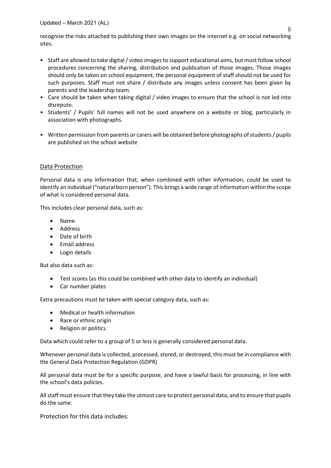Updated – March 2021 (AL)

recognise the risks attached to publishing their own images on the internet e.g. on social networking sites.

- Staff are allowed to take digital / video images to support educational aims, but must follow school procedures concerning the sharing, distribution and publication of those images. Those images should only be taken on school equipment, the personal equipment of staff should not be used for such purposes. Staff must not share / distribute any images unless consent has been given by parents and the leadership team.
- Care should be taken when taking digital / video images to ensure that the school is not led into disrepute.
- Students' / Pupils' full names will not be used anywhere on a website or blog, particularly in association with photographs.
- Written permission from parents or carers will be obtained before photographs of students / pupils are published on the school website

## Data Protection

Personal data is any information that, when combined with other information, could be used to identify an individual ("natural born person"). This brings a wide range of information within the scope of what is considered personal data.

This includes clear personal data, such as:

- Name
- Address
- Date of birth
- Email address
- Login details

But also data such as:

- Test scores (as this could be combined with other data to identify an individual)
- Car number plates

Extra precautions must be taken with special category data, such as:

- Medical or health information
- Race or ethnic origin
- Religion or politics

Data which could refer to a group of 5 or less is generally considered personal data.

Whenever personal data is collected, processed, stored, or destroyed, this must be in compliance with the General Data Protection Regulation (GDPR)

All personal data must be for a specific purpose, and have a lawful basis for processing, in line with the school's data policies.

All staff must ensure that they take the utmost care to protect personal data, and to ensure that pupils do the same.

Protection for this data includes: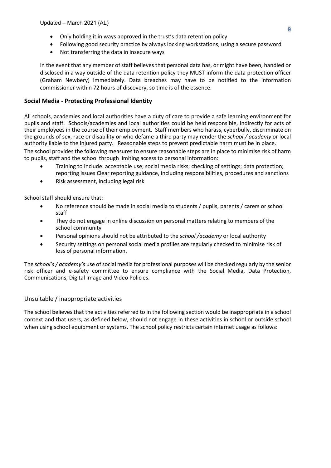- Only holding it in ways approved in the trust's data retention policy
- Following good security practice by always locking workstations, using a secure password
- Not transferring the data in insecure ways

In the event that any member of staff believes that personal data has, or might have been, handled or disclosed in a way outside of the data retention policy they MUST inform the data protection officer (Graham Newbery) immediately. Data breaches may have to be notified to the information commissioner within 72 hours of discovery, so time is of the essence.

## **Social Media - Protecting Professional Identity**

All schools, academies and local authorities have a duty of care to provide a safe learning environment for pupils and staff. Schools/academies and local authorities could be held responsible, indirectly for acts of their employees in the course of their employment. Staff members who harass, cyberbully, discriminate on the grounds of sex, race or disability or who defame a third party may render the *school / academy* or local authority liable to the injured party. Reasonable steps to prevent predictable harm must be in place.

The school provides the following measures to ensure reasonable steps are in place to minimise risk of harm to pupils, staff and the school through limiting access to personal information:

- Training to include: acceptable use; social media risks; checking of settings; data protection; reporting issues Clear reporting guidance, including responsibilities, procedures and sanctions
- Risk assessment, including legal risk

School staff should ensure that:

- No reference should be made in social media to students / pupils, parents / carers or school staff
- They do not engage in online discussion on personal matters relating to members of the school community
- Personal opinions should not be attributed to the *school /academy* or local authority
- Security settings on personal social media profiles are regularly checked to minimise risk of loss of personal information.

The *school's / academy's* use of social media for professional purposes will be checked regularly by the senior risk officer and e-safety committee to ensure compliance with the Social Media, Data Protection, Communications, Digital Image and Video Policies.

## Unsuitable / inappropriate activities

The school believes that the activities referred to in the following section would be inappropriate in a school context and that users, as defined below, should not engage in these activities in school or outside school when using school equipment or systems. The school policy restricts certain internet usage as follows: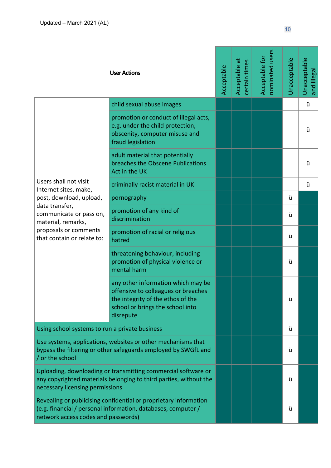|                                                                                                                                                                          | <b>User Actions</b>                                                                                                                                             | Acceptable | Acceptable at<br>certain times | nominated users<br>Acceptable for | Unacceptable | Unacceptable<br>and illegal |
|--------------------------------------------------------------------------------------------------------------------------------------------------------------------------|-----------------------------------------------------------------------------------------------------------------------------------------------------------------|------------|--------------------------------|-----------------------------------|--------------|-----------------------------|
|                                                                                                                                                                          | child sexual abuse images                                                                                                                                       |            |                                |                                   |              | ü                           |
|                                                                                                                                                                          | promotion or conduct of illegal acts,<br>e.g. under the child protection,<br>obscenity, computer misuse and<br>fraud legislation                                |            |                                |                                   |              | ü                           |
|                                                                                                                                                                          | adult material that potentially<br>breaches the Obscene Publications<br>Act in the UK                                                                           |            |                                |                                   |              | ü                           |
| Users shall not visit<br>Internet sites, make,                                                                                                                           | criminally racist material in UK                                                                                                                                |            |                                |                                   |              | ü                           |
| post, download, upload,                                                                                                                                                  | pornography                                                                                                                                                     |            |                                |                                   | ü            |                             |
| data transfer,<br>communicate or pass on,<br>material, remarks,<br>proposals or comments<br>that contain or relate to:                                                   | promotion of any kind of<br>discrimination                                                                                                                      |            |                                |                                   | ü            |                             |
|                                                                                                                                                                          | promotion of racial or religious<br>hatred                                                                                                                      |            |                                |                                   | ü            |                             |
|                                                                                                                                                                          | threatening behaviour, including<br>promotion of physical violence or<br>mental harm                                                                            |            |                                |                                   | ü            |                             |
|                                                                                                                                                                          | any other information which may be<br>offensive to colleagues or breaches<br>the integrity of the ethos of the<br>school or brings the school into<br>disrepute |            |                                |                                   | ü            |                             |
| Using school systems to run a private business                                                                                                                           |                                                                                                                                                                 |            |                                |                                   | ü            |                             |
| Use systems, applications, websites or other mechanisms that<br>bypass the filtering or other safeguards employed by SWGfL and<br>/ or the school                        |                                                                                                                                                                 |            |                                |                                   | ü            |                             |
| Uploading, downloading or transmitting commercial software or<br>any copyrighted materials belonging to third parties, without the<br>necessary licensing permissions    |                                                                                                                                                                 |            |                                |                                   | ü            |                             |
| Revealing or publicising confidential or proprietary information<br>(e.g. financial / personal information, databases, computer /<br>network access codes and passwords) |                                                                                                                                                                 |            |                                |                                   | ü            |                             |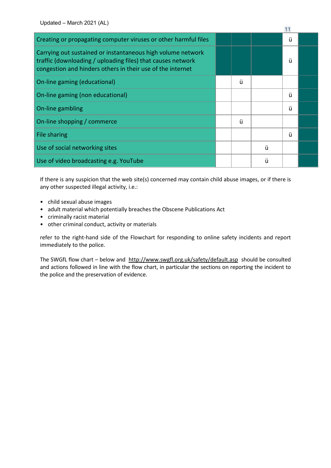| Creating or propagating computer viruses or other harmful files                                                                                                                          |   |   | ü |  |
|------------------------------------------------------------------------------------------------------------------------------------------------------------------------------------------|---|---|---|--|
| Carrying out sustained or instantaneous high volume network<br>traffic (downloading / uploading files) that causes network<br>congestion and hinders others in their use of the internet |   |   | ü |  |
| On-line gaming (educational)                                                                                                                                                             | ü |   |   |  |
| On-line gaming (non educational)                                                                                                                                                         |   |   | ü |  |
| On-line gambling                                                                                                                                                                         |   |   | ü |  |
| On-line shopping / commerce                                                                                                                                                              | ü |   |   |  |
| File sharing                                                                                                                                                                             |   |   | ü |  |
| Use of social networking sites                                                                                                                                                           |   | ü |   |  |
| Use of video broadcasting e.g. YouTube                                                                                                                                                   |   | ü |   |  |

If there is any suspicion that the web site(s) concerned may contain child abuse images, or if there is any other suspected illegal activity, i.e.:

- child sexual abuse images
- adult material which potentially breaches the Obscene Publications Act
- criminally racist material
- other criminal conduct, activity or materials

refer to the right-hand side of the Flowchart for responding to online safety incidents and report immediately to the police.

The SWGfL flow chart – below and http://www.swgfl.org.uk/safety/default.asp should be consulted and actions followed in line with the flow chart, in particular the sections on reporting the incident to the police and the preservation of evidence.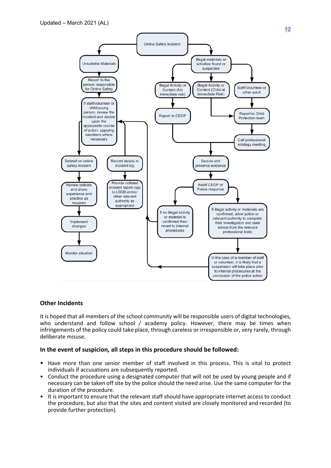

## **Other Incidents**

It is hoped that all members of the school community will be responsible users of digital technologies, who understand and follow school / academy policy. However, there may be times when infringements of the policy could take place, through careless or irresponsible or, very rarely, through deliberate misuse.

#### **In the event of suspicion, all steps in this procedure should be followed:**

- Have more than one senior member of staff involved in this process. This is vital to protect individuals if accusations are subsequently reported.
- Conduct the procedure using a designated computer that will not be used by young people and if necessary can be taken off site by the police should the need arise. Use the same computer for the duration of the procedure.
- It is important to ensure that the relevant staff should have appropriate internet access to conduct the procedure, but also that the sites and content visited are closely monitored and recorded (to provide further protection).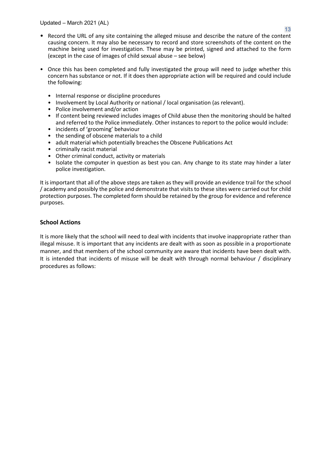Updated – March 2021 (AL)

- Record the URL of any site containing the alleged misuse and describe the nature of the content causing concern. It may also be necessary to record and store screenshots of the content on the machine being used for investigation. These may be printed, signed and attached to the form (except in the case of images of child sexual abuse – see below)
- Once this has been completed and fully investigated the group will need to judge whether this concern has substance or not. If it does then appropriate action will be required and could include the following:
	- Internal response or discipline procedures
	- Involvement by Local Authority or national / local organisation (as relevant).
	- Police involvement and/or action
	- If content being reviewed includes images of Child abuse then the monitoring should be halted and referred to the Police immediately. Other instances to report to the police would include:
	- incidents of 'grooming' behaviour
	- the sending of obscene materials to a child
	- adult material which potentially breaches the Obscene Publications Act
	- criminally racist material
	- Other criminal conduct, activity or materials
	- Isolate the computer in question as best you can. Any change to its state may hinder a later police investigation.

It is important that all of the above steps are taken as they will provide an evidence trail for the school / academy and possibly the police and demonstrate that visits to these sites were carried out for child protection purposes. The completed form should be retained by the group for evidence and reference purposes.

## **School Actions**

It is more likely that the school will need to deal with incidents that involve inappropriate rather than illegal misuse. It is important that any incidents are dealt with as soon as possible in a proportionate manner, and that members of the school community are aware that incidents have been dealt with. It is intended that incidents of misuse will be dealt with through normal behaviour / disciplinary procedures as follows: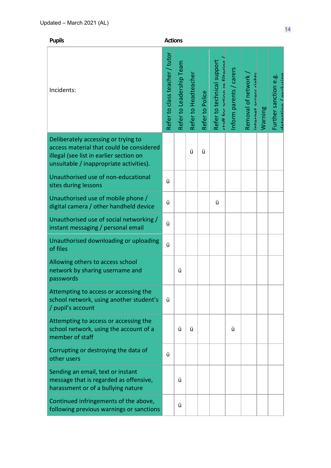| × | ۰. |
|---|----|

**Actions** 

| Incidents:                                                                                                                                                            | Refer to class teacher / tutor | Refer to Leadership Team | Refer to Headteacher | Refer to Police | Refer to technical support<br>ctaff for action rafiltarino | Inform parents / carers | Removal of network<br>intarnat accass right | Warning | datantinn / avrlusinn<br>Further sanction e.g. |
|-----------------------------------------------------------------------------------------------------------------------------------------------------------------------|--------------------------------|--------------------------|----------------------|-----------------|------------------------------------------------------------|-------------------------|---------------------------------------------|---------|------------------------------------------------|
| Deliberately accessing or trying to<br>access material that could be considered<br>illegal (see list in earlier section on<br>unsuitable / inappropriate activities). |                                |                          | ü                    | ü               |                                                            |                         |                                             |         |                                                |
| Unauthorised use of non-educational<br>sites during lessons                                                                                                           | ü                              |                          |                      |                 |                                                            |                         |                                             |         |                                                |
| Unauthorised use of mobile phone /<br>digital camera / other handheld device                                                                                          | ü                              |                          |                      |                 | ü                                                          |                         |                                             |         |                                                |
| Unauthorised use of social networking /<br>instant messaging / personal email                                                                                         | ü                              |                          |                      |                 |                                                            |                         |                                             |         |                                                |
| Unauthorised downloading or uploading<br>of files                                                                                                                     | ü                              |                          |                      |                 |                                                            |                         |                                             |         |                                                |
| Allowing others to access school<br>network by sharing username and<br>passwords                                                                                      |                                | ü                        |                      |                 |                                                            |                         |                                             |         |                                                |
| Attempting to access or accessing the<br>school network, using another student's<br>/ pupil's account                                                                 | ü                              |                          |                      |                 |                                                            |                         |                                             |         |                                                |
| Attempting to access or accessing the<br>school network, using the account of a<br>member of staff                                                                    |                                | ü                        | ü                    |                 |                                                            | ü                       |                                             |         |                                                |
| Corrupting or destroying the data of<br>other users                                                                                                                   | ü                              |                          |                      |                 |                                                            |                         |                                             |         |                                                |
| Sending an email, text or instant<br>message that is regarded as offensive,<br>harassment or of a bullying nature                                                     |                                | ü                        |                      |                 |                                                            |                         |                                             |         |                                                |
| Continued infringements of the above,<br>following previous warnings or sanctions                                                                                     |                                | ü                        |                      |                 |                                                            |                         |                                             |         |                                                |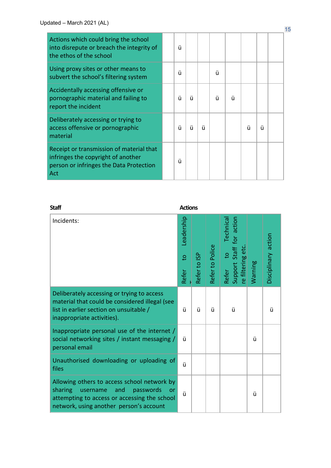| Actions which could bring the school<br>into disrepute or breach the integrity of<br>the ethos of the school                     | ü |   |   |   |   |   |   |  |
|----------------------------------------------------------------------------------------------------------------------------------|---|---|---|---|---|---|---|--|
| Using proxy sites or other means to<br>subvert the school's filtering system                                                     | ü |   |   | ü |   |   |   |  |
| Accidentally accessing offensive or<br>pornographic material and failing to<br>report the incident                               | ü | ü |   | ü | ü |   |   |  |
| Deliberately accessing or trying to<br>access offensive or pornographic<br>material                                              | ü | ü | ü |   |   | ü | ü |  |
| Receipt or transmission of material that<br>infringes the copyright of another<br>person or infringes the Data Protection<br>Act | ü |   |   |   |   |   |   |  |

| <b>Staff</b>                                                                                                                                                                                   | <b>Actions</b>                        |              |                 |                                                                                            |         |                     |  |
|------------------------------------------------------------------------------------------------------------------------------------------------------------------------------------------------|---------------------------------------|--------------|-----------------|--------------------------------------------------------------------------------------------|---------|---------------------|--|
| Incidents:                                                                                                                                                                                     | Leadership<br>$\overline{c}$<br>Refer | Refer to ISP | Refer to Police | Support Staff for action<br><b>Technica</b><br>re filtering eto<br>$\overline{S}$<br>Refer | Warning | Disciplinary action |  |
| Deliberately accessing or trying to access<br>material that could be considered illegal (see<br>list in earlier section on unsuitable /<br>inappropriate activities).                          | ü                                     | ü            | ü               | ü                                                                                          |         | ü                   |  |
| Inappropriate personal use of the internet /<br>social networking sites / instant messaging /<br>personal email                                                                                | ü                                     |              |                 |                                                                                            | ü       |                     |  |
| Unauthorised downloading or uploading of<br>files                                                                                                                                              | ü                                     |              |                 |                                                                                            |         |                     |  |
| Allowing others to access school network by<br>sharing<br>username<br>passwords<br>and<br><b>or</b><br>attempting to access or accessing the school<br>network, using another person's account | ü                                     |              |                 |                                                                                            | ü       |                     |  |

15